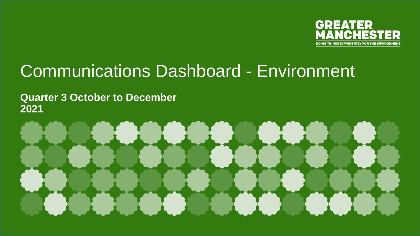

# Communications Dashboard - Environment

**Quarter 3 October to December 2021**

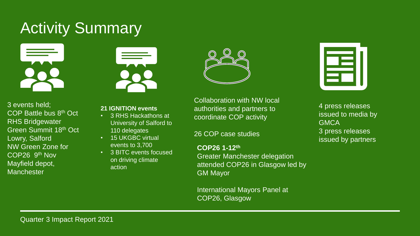# Activity Summary



3 events held; COP Battle bus 8th Oct RHS Bridgewater Green Summit 18th Oct Lowry, Salford NW Green Zone for COP26 9th Nov Mayfield depot, **Manchester** 



- **21 IGNITION events**
- 3 RHS Hackathons at University of Salford to 110 delegates
- 15 UKGBC virtual events to 3,700
- 3 BITC events focused on driving climate action

Collaboration with NW local authorities and partners to coordinate COP activity

26 COP case studies

**COP26 1-12th** Greater Manchester delegation attended COP26 in Glasgow led by GM Mayor

International Mayors Panel at COP26, Glasgow

4 press releases issued to media by **GMCA** 3 press releases issued by partners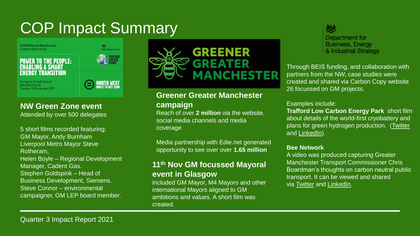# COP Impact Summary

**COP26 North West Events Greater Manchester** 

**POWER TO THE PEOPLE: ENABLING A SMART** 



**Escape to Freight Island Mayfield Depot** Tuesday 9 November 2021



### **NW Green Zone event**

Attended by over 500 delegates

5 short films recorded featuring: GM Mayor, Andy Burnham Liverpool Metro Mayor Steve Rotheram, Helen Boyle – Regional Development Manager, Cadent Gas. Stephen Goldspink – Head of Business Development, Siemens. Steve Connor – environmental campaigner, GM LEP board member.



### **Greener Greater Manchester campaign**

Reach of over **2 million** via the website, social media channels and media coverage

Media partnership with Edie.net generated opportunity to see over over **1.65 million**

### **11th Nov GM focussed Mayoral event in Glasgow**

included GM Mayor, M4 Mayors and other international Mayors aligned to GM ambitions and values. A short film was created.

Department for **Business, Energy** & Industrial Strategy

Through BEIS funding, and collaboration with partners from the NW, case studies were created and shared via Carbon Copy website 26 focussed on GM projects.

#### Examples include:

**Trafford Low Carbon Energy Park** short film about details of the world-first cryobattery and plans for green hydrogen production. [\(Twitter](https://protect-eu.mimecast.com/s/xODACX6yYsBnXXKHDaJj-?domain=twitter.com) and [LinkedIn](https://protect-eu.mimecast.com/s/51XmCY6zVsk3LLlIVyUBd?domain=linkedin.com)).

#### **Bee Network**

A video was produced capturing Greater Manchester Transport Commissioner Chris Boardman's thoughts on carbon neutral public transport. It can be viewed and shared via [Twitter](https://protect-eu.mimecast.com/s/qKyzCZ4AZcPM55gSxhnwx?domain=twitter.com) and [LinkedIn.](https://protect-eu.mimecast.com/s/pFlDC1j0VcnpMMGU10wKK?domain=linkedin.com)